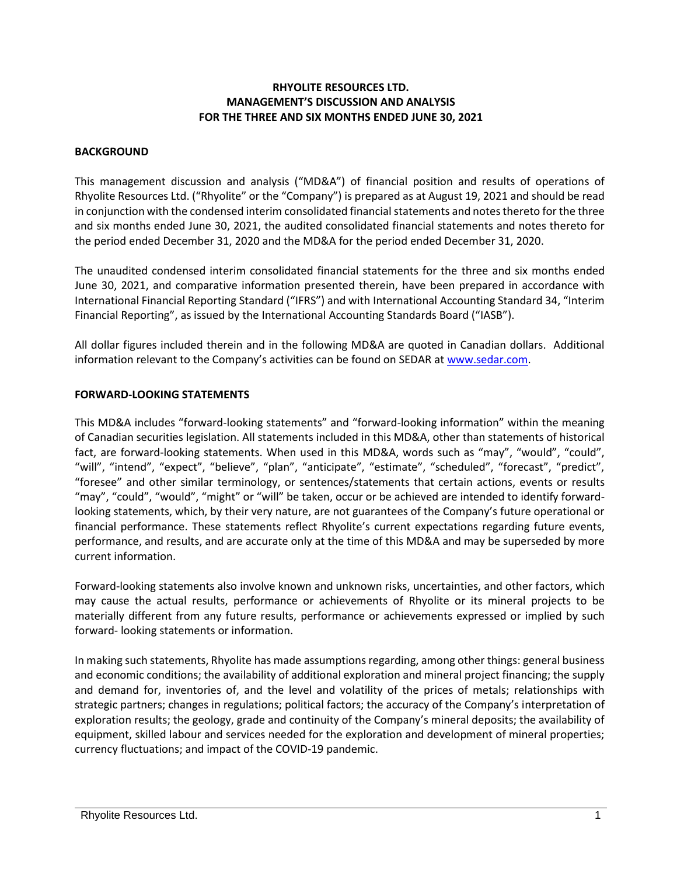#### **RHYOLITE RESOURCES LTD. MANAGEMENT'S DISCUSSION AND ANALYSIS FOR THE THREE AND SIX MONTHS ENDED JUNE 30, 2021**

#### **BACKGROUND**

This management discussion and analysis ("MD&A") of financial position and results of operations of Rhyolite Resources Ltd. ("Rhyolite" or the "Company") is prepared as at August 19, 2021 and should be read in conjunction with the condensed interim consolidated financial statements and notes thereto for the three and six months ended June 30, 2021, the audited consolidated financial statements and notes thereto for the period ended December 31, 2020 and the MD&A for the period ended December 31, 2020.

The unaudited condensed interim consolidated financial statements for the three and six months ended June 30, 2021, and comparative information presented therein, have been prepared in accordance with International Financial Reporting Standard ("IFRS") and with International Accounting Standard 34, "Interim Financial Reporting", as issued by the International Accounting Standards Board ("IASB").

All dollar figures included therein and in the following MD&A are quoted in Canadian dollars. Additional information relevant to the Company's activities can be found on SEDAR at [www.sedar.com.](http://www.sedar.com/)

#### **FORWARD-LOOKING STATEMENTS**

This MD&A includes "forward-looking statements" and "forward-looking information" within the meaning of Canadian securities legislation. All statements included in this MD&A, other than statements of historical fact, are forward-looking statements. When used in this MD&A, words such as "may", "would", "could", "will", "intend", "expect", "believe", "plan", "anticipate", "estimate", "scheduled", "forecast", "predict", "foresee" and other similar terminology, or sentences/statements that certain actions, events or results "may", "could", "would", "might" or "will" be taken, occur or be achieved are intended to identify forwardlooking statements, which, by their very nature, are not guarantees of the Company's future operational or financial performance. These statements reflect Rhyolite's current expectations regarding future events, performance, and results, and are accurate only at the time of this MD&A and may be superseded by more current information.

Forward-looking statements also involve known and unknown risks, uncertainties, and other factors, which may cause the actual results, performance or achievements of Rhyolite or its mineral projects to be materially different from any future results, performance or achievements expressed or implied by such forward- looking statements or information.

In making such statements, Rhyolite has made assumptions regarding, among other things: general business and economic conditions; the availability of additional exploration and mineral project financing; the supply and demand for, inventories of, and the level and volatility of the prices of metals; relationships with strategic partners; changes in regulations; political factors; the accuracy of the Company's interpretation of exploration results; the geology, grade and continuity of the Company's mineral deposits; the availability of equipment, skilled labour and services needed for the exploration and development of mineral properties; currency fluctuations; and impact of the COVID-19 pandemic.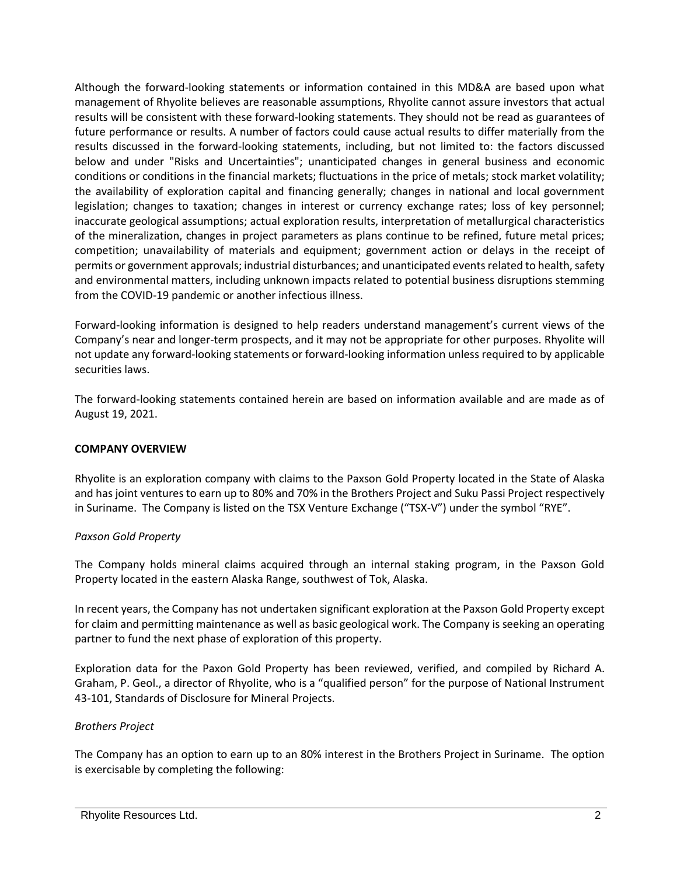Although the forward-looking statements or information contained in this MD&A are based upon what management of Rhyolite believes are reasonable assumptions, Rhyolite cannot assure investors that actual results will be consistent with these forward-looking statements. They should not be read as guarantees of future performance or results. A number of factors could cause actual results to differ materially from the results discussed in the forward-looking statements, including, but not limited to: the factors discussed below and under "Risks and Uncertainties"; unanticipated changes in general business and economic conditions or conditions in the financial markets; fluctuations in the price of metals; stock market volatility; the availability of exploration capital and financing generally; changes in national and local government legislation; changes to taxation; changes in interest or currency exchange rates; loss of key personnel; inaccurate geological assumptions; actual exploration results, interpretation of metallurgical characteristics of the mineralization, changes in project parameters as plans continue to be refined, future metal prices; competition; unavailability of materials and equipment; government action or delays in the receipt of permits or government approvals; industrial disturbances; and unanticipated events related to health, safety and environmental matters, including unknown impacts related to potential business disruptions stemming from the COVID-19 pandemic or another infectious illness.

Forward-looking information is designed to help readers understand management's current views of the Company's near and longer-term prospects, and it may not be appropriate for other purposes. Rhyolite will not update any forward-looking statements or forward-looking information unless required to by applicable securities laws.

The forward-looking statements contained herein are based on information available and are made as of August 19, 2021.

## **COMPANY OVERVIEW**

Rhyolite is an exploration company with claims to the Paxson Gold Property located in the State of Alaska and has joint ventures to earn up to 80% and 70% in the Brothers Project and Suku Passi Project respectively in Suriname. The Company is listed on the TSX Venture Exchange ("TSX-V") under the symbol "RYE".

# *Paxson Gold Property*

The Company holds mineral claims acquired through an internal staking program, in the Paxson Gold Property located in the eastern Alaska Range, southwest of Tok, Alaska.

In recent years, the Company has not undertaken significant exploration at the Paxson Gold Property except for claim and permitting maintenance as well as basic geological work. The Company is seeking an operating partner to fund the next phase of exploration of this property.

Exploration data for the Paxon Gold Property has been reviewed, verified, and compiled by Richard A. Graham, P. Geol., a director of Rhyolite, who is a "qualified person" for the purpose of National Instrument 43-101, Standards of Disclosure for Mineral Projects.

# *Brothers Project*

The Company has an option to earn up to an 80% interest in the Brothers Project in Suriname. The option is exercisable by completing the following: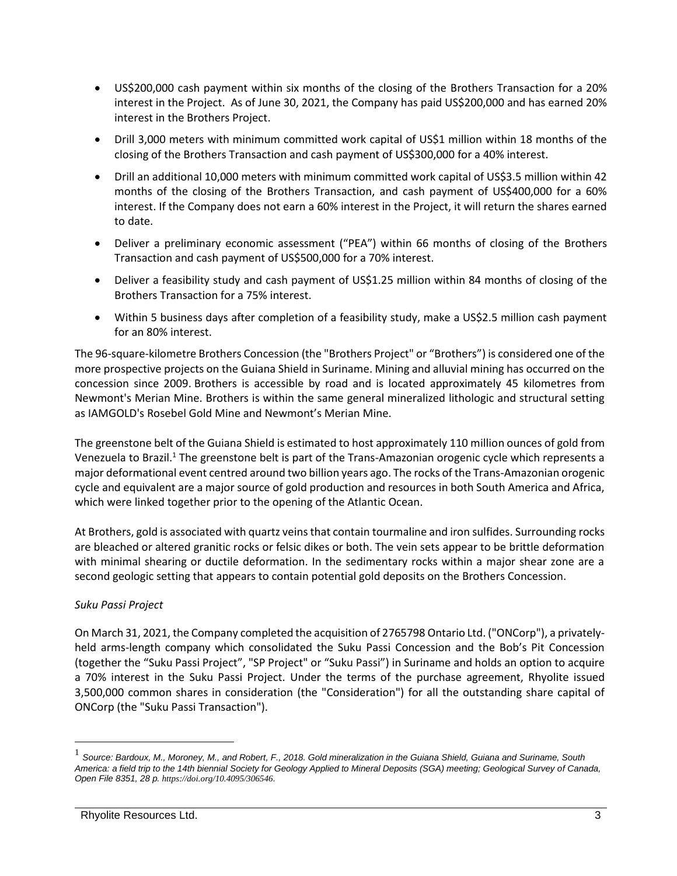- US\$200,000 cash payment within six months of the closing of the Brothers Transaction for a 20% interest in the Project. As of June 30, 2021, the Company has paid US\$200,000 and has earned 20% interest in the Brothers Project.
- Drill 3,000 meters with minimum committed work capital of US\$1 million within 18 months of the closing of the Brothers Transaction and cash payment of US\$300,000 for a 40% interest.
- Drill an additional 10,000 meters with minimum committed work capital of US\$3.5 million within 42 months of the closing of the Brothers Transaction, and cash payment of US\$400,000 for a 60% interest. If the Company does not earn a 60% interest in the Project, it will return the shares earned to date.
- Deliver a preliminary economic assessment ("PEA") within 66 months of closing of the Brothers Transaction and cash payment of US\$500,000 for a 70% interest.
- Deliver a feasibility study and cash payment of US\$1.25 million within 84 months of closing of the Brothers Transaction for a 75% interest.
- Within 5 business days after completion of a feasibility study, make a US\$2.5 million cash payment for an 80% interest.

The 96-square-kilometre Brothers Concession (the "Brothers Project" or "Brothers") is considered one of the more prospective projects on the Guiana Shield in Suriname. Mining and alluvial mining has occurred on the concession since 2009. Brothers is accessible by road and is located approximately 45 kilometres from Newmont's Merian Mine. Brothers is within the same general mineralized lithologic and structural setting as IAMGOLD's Rosebel Gold Mine and Newmont's Merian Mine.

The greenstone belt of the Guiana Shield is estimated to host approximately 110 million ounces of gold from Venezuela to Brazil.<sup>1</sup> The greenstone belt is part of the Trans-Amazonian orogenic cycle which represents a major deformational event centred around two billion years ago. The rocks of the Trans-Amazonian orogenic cycle and equivalent are a major source of gold production and resources in both South America and Africa, which were linked together prior to the opening of the Atlantic Ocean.

At Brothers, gold is associated with quartz veins that contain tourmaline and iron sulfides. Surrounding rocks are bleached or altered granitic rocks or felsic dikes or both. The vein sets appear to be brittle deformation with minimal shearing or ductile deformation. In the sedimentary rocks within a major shear zone are a second geologic setting that appears to contain potential gold deposits on the Brothers Concession.

# *Suku Passi Project*

On March 31, 2021, the Company completed the acquisition of 2765798 Ontario Ltd. ("ONCorp"), a privatelyheld arms-length company which consolidated the Suku Passi Concession and the Bob's Pit Concession (together the "Suku Passi Project", "SP Project" or "Suku Passi") in Suriname and holds an option to acquire a 70% interest in the Suku Passi Project. Under the terms of the purchase agreement, Rhyolite issued 3,500,000 common shares in consideration (the "Consideration") for all the outstanding share capital of ONCorp (the "Suku Passi Transaction").

<sup>&</sup>lt;sup>1</sup> Source: Bardoux, M., Moroney, M., and Robert, F., 2018. Gold mineralization in the Guiana Shield, Guiana and Suriname, South *America: a field trip to the 14th biennial Society for Geology Applied to Mineral Deposits (SGA) meeting; Geological Survey of Canada, Open File 8351, 28 p. [https://doi.org/10.4095/306546](https://geoscan.nrcan.gc.ca/starweb/geoscan/servlet.starweb?path=geoscan/fulle.web&search1=R=306546).*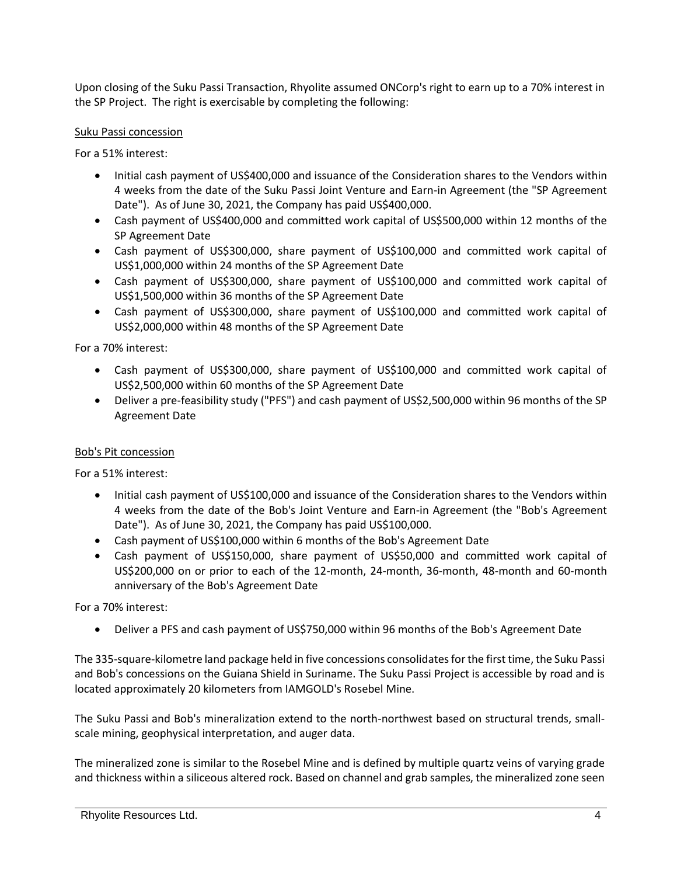Upon closing of the Suku Passi Transaction, Rhyolite assumed ONCorp's right to earn up to a 70% interest in the SP Project. The right is exercisable by completing the following:

## Suku Passi concession

For a 51% interest:

- Initial cash payment of US\$400,000 and issuance of the Consideration shares to the Vendors within 4 weeks from the date of the Suku Passi Joint Venture and Earn-in Agreement (the "SP Agreement Date"). As of June 30, 2021, the Company has paid US\$400,000.
- Cash payment of US\$400,000 and committed work capital of US\$500,000 within 12 months of the SP Agreement Date
- Cash payment of US\$300,000, share payment of US\$100,000 and committed work capital of US\$1,000,000 within 24 months of the SP Agreement Date
- Cash payment of US\$300,000, share payment of US\$100,000 and committed work capital of US\$1,500,000 within 36 months of the SP Agreement Date
- Cash payment of US\$300,000, share payment of US\$100,000 and committed work capital of US\$2,000,000 within 48 months of the SP Agreement Date

For a 70% interest:

- Cash payment of US\$300,000, share payment of US\$100,000 and committed work capital of US\$2,500,000 within 60 months of the SP Agreement Date
- Deliver a pre-feasibility study ("PFS") and cash payment of US\$2,500,000 within 96 months of the SP Agreement Date

## Bob's Pit concession

For a 51% interest:

- Initial cash payment of US\$100,000 and issuance of the Consideration shares to the Vendors within 4 weeks from the date of the Bob's Joint Venture and Earn-in Agreement (the "Bob's Agreement Date"). As of June 30, 2021, the Company has paid US\$100,000.
- Cash payment of US\$100,000 within 6 months of the Bob's Agreement Date
- Cash payment of US\$150,000, share payment of US\$50,000 and committed work capital of US\$200,000 on or prior to each of the 12-month, 24-month, 36-month, 48-month and 60-month anniversary of the Bob's Agreement Date

For a 70% interest:

• Deliver a PFS and cash payment of US\$750,000 within 96 months of the Bob's Agreement Date

The 335-square-kilometre land package held in five concessions consolidates for the first time, the Suku Passi and Bob's concessions on the Guiana Shield in Suriname. The Suku Passi Project is accessible by road and is located approximately 20 kilometers from IAMGOLD's Rosebel Mine.

The Suku Passi and Bob's mineralization extend to the north-northwest based on structural trends, smallscale mining, geophysical interpretation, and auger data.

The mineralized zone is similar to the Rosebel Mine and is defined by multiple quartz veins of varying grade and thickness within a siliceous altered rock. Based on channel and grab samples, the mineralized zone seen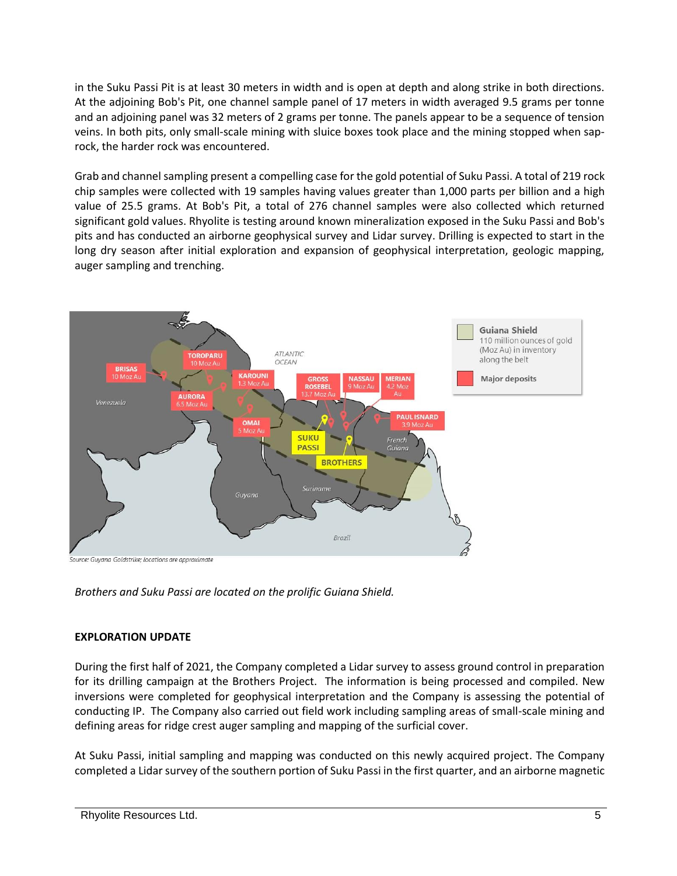in the Suku Passi Pit is at least 30 meters in width and is open at depth and along strike in both directions. At the adjoining Bob's Pit, one channel sample panel of 17 meters in width averaged 9.5 grams per tonne and an adjoining panel was 32 meters of 2 grams per tonne. The panels appear to be a sequence of tension veins. In both pits, only small-scale mining with sluice boxes took place and the mining stopped when saprock, the harder rock was encountered.

Grab and channel sampling present a compelling case for the gold potential of Suku Passi. A total of 219 rock chip samples were collected with 19 samples having values greater than 1,000 parts per billion and a high value of 25.5 grams. At Bob's Pit, a total of 276 channel samples were also collected which returned significant gold values. Rhyolite is testing around known mineralization exposed in the Suku Passi and Bob's pits and has conducted an airborne geophysical survey and Lidar survey. Drilling is expected to start in the long dry season after initial exploration and expansion of geophysical interpretation, geologic mapping, auger sampling and trenching.



*Brothers and Suku Passi are located on the prolific Guiana Shield.*

# **EXPLORATION UPDATE**

During the first half of 2021, the Company completed a Lidar survey to assess ground control in preparation for its drilling campaign at the Brothers Project. The information is being processed and compiled. New inversions were completed for geophysical interpretation and the Company is assessing the potential of conducting IP. The Company also carried out field work including sampling areas of small-scale mining and defining areas for ridge crest auger sampling and mapping of the surficial cover.

At Suku Passi, initial sampling and mapping was conducted on this newly acquired project. The Company completed a Lidar survey of the southern portion of Suku Passi in the first quarter, and an airborne magnetic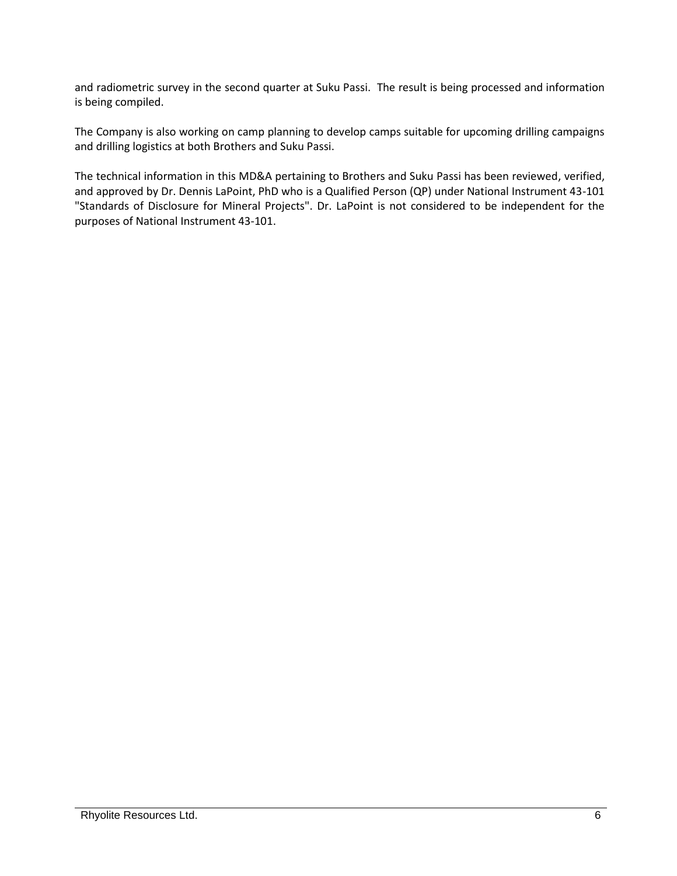and radiometric survey in the second quarter at Suku Passi. The result is being processed and information is being compiled.

The Company is also working on camp planning to develop camps suitable for upcoming drilling campaigns and drilling logistics at both Brothers and Suku Passi.

The technical information in this MD&A pertaining to Brothers and Suku Passi has been reviewed, verified, and approved by Dr. Dennis LaPoint, PhD who is a Qualified Person (QP) under National Instrument 43-101 "Standards of Disclosure for Mineral Projects". Dr. LaPoint is not considered to be independent for the purposes of National Instrument 43-101.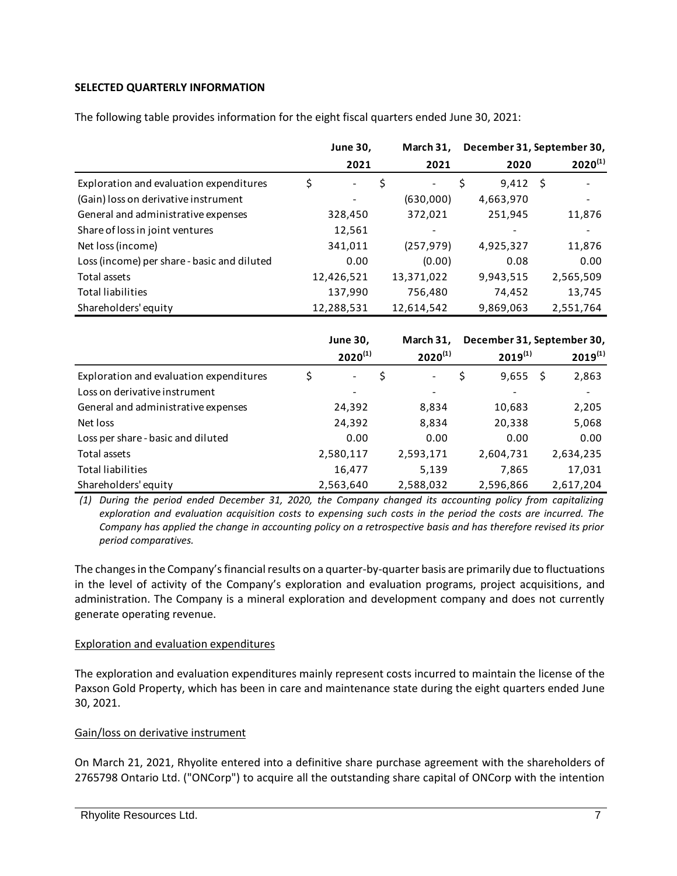## **SELECTED QUARTERLY INFORMATION**

|                                             | <b>June 30,</b> |                          | March 31, | December 31, September 30, |             |    |              |
|---------------------------------------------|-----------------|--------------------------|-----------|----------------------------|-------------|----|--------------|
|                                             |                 | 2021                     |           | 2021                       | 2020        |    | $2020^{(1)}$ |
| Exploration and evaluation expenditures     | \$              | $\overline{\phantom{a}}$ | \$        | $\overline{\phantom{a}}$   | \$<br>9,412 | -S |              |
| (Gain) loss on derivative instrument        |                 |                          |           | (630,000)                  | 4,663,970   |    |              |
| General and administrative expenses         |                 | 328,450                  |           | 372,021                    | 251,945     |    | 11,876       |
| Share of loss in joint ventures             |                 | 12,561                   |           |                            |             |    |              |
| Net loss (income)                           |                 | 341,011                  |           | (257, 979)                 | 4,925,327   |    | 11,876       |
| Loss (income) per share - basic and diluted |                 | 0.00                     |           | (0.00)                     | 0.08        |    | 0.00         |
| Total assets                                |                 | 12,426,521               |           | 13,371,022                 | 9,943,515   |    | 2,565,509    |
| <b>Total liabilities</b>                    |                 | 137,990                  |           | 756,480                    | 74.452      |    | 13,745       |
| Shareholders' equity                        |                 | 12,288,531               |           | 12,614,542                 | 9,869,063   |    | 2,551,764    |

The following table provides information for the eight fiscal quarters ended June 30, 2021:

|                                         | <b>June 30,</b><br>$2020^{(1)}$ | March 31,<br>$2020^{(1)}$      | December 31, September 30,<br>$2019^{(1)}$ |    | $2019^{(1)}$ |
|-----------------------------------------|---------------------------------|--------------------------------|--------------------------------------------|----|--------------|
| Exploration and evaluation expenditures | \$<br>$\blacksquare$            | \$<br>$\overline{\phantom{a}}$ | \$<br>9,655                                | .S | 2,863        |
| Loss on derivative instrument           | -                               | $\overline{\phantom{a}}$       |                                            |    |              |
| General and administrative expenses     | 24,392                          | 8,834                          | 10,683                                     |    | 2,205        |
| Net loss                                | 24,392                          | 8,834                          | 20,338                                     |    | 5,068        |
| Loss per share - basic and diluted      | 0.00                            | 0.00                           | 0.00                                       |    | 0.00         |
| Total assets                            | 2,580,117                       | 2,593,171                      | 2,604,731                                  |    | 2,634,235    |
| <b>Total liabilities</b>                | 16,477                          | 5,139                          | 7,865                                      |    | 17,031       |
| Shareholders' equity                    | 2,563,640                       | 2,588,032                      | 2,596,866                                  |    | 2,617,204    |

*(1) During the period ended December 31, 2020, the Company changed its accounting policy from capitalizing exploration and evaluation acquisition costs to expensing such costs in the period the costs are incurred. The Company has applied the change in accounting policy on a retrospective basis and has therefore revised its prior period comparatives.*

The changes in the Company's financial results on a quarter-by-quarter basis are primarily due to fluctuations in the level of activity of the Company's exploration and evaluation programs, project acquisitions, and administration. The Company is a mineral exploration and development company and does not currently generate operating revenue.

## Exploration and evaluation expenditures

The exploration and evaluation expenditures mainly represent costs incurred to maintain the license of the Paxson Gold Property, which has been in care and maintenance state during the eight quarters ended June 30, 2021.

## Gain/loss on derivative instrument

On March 21, 2021, Rhyolite entered into a definitive share purchase agreement with the shareholders of 2765798 Ontario Ltd. ("ONCorp") to acquire all the outstanding share capital of ONCorp with the intention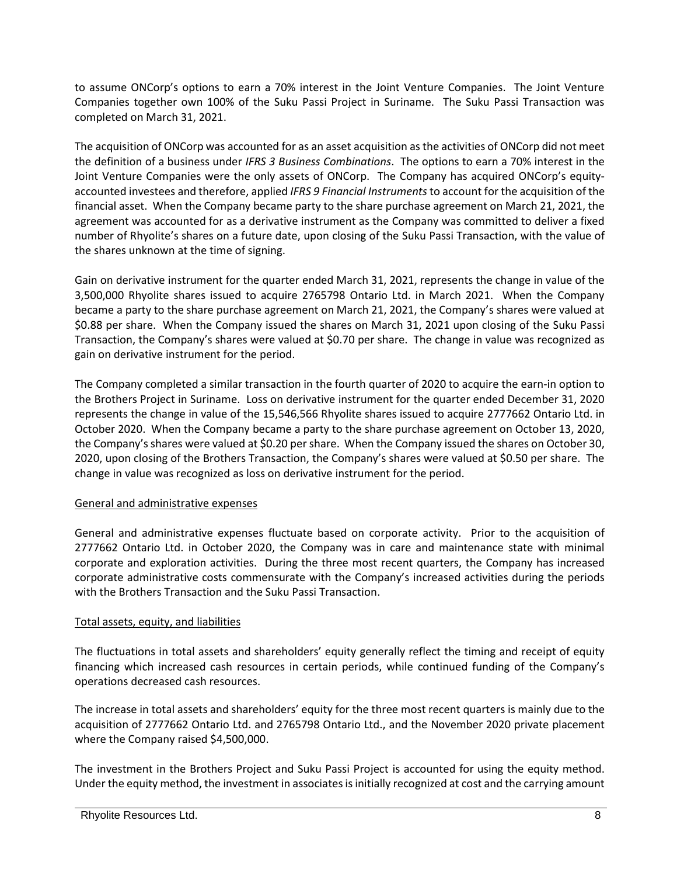to assume ONCorp's options to earn a 70% interest in the Joint Venture Companies. The Joint Venture Companies together own 100% of the Suku Passi Project in Suriname. The Suku Passi Transaction was completed on March 31, 2021.

The acquisition of ONCorp was accounted for as an asset acquisition as the activities of ONCorp did not meet the definition of a business under *IFRS 3 Business Combinations*. The options to earn a 70% interest in the Joint Venture Companies were the only assets of ONCorp. The Company has acquired ONCorp's equityaccounted investees and therefore, applied *IFRS 9 Financial Instruments*to account for the acquisition of the financial asset. When the Company became party to the share purchase agreement on March 21, 2021, the agreement was accounted for as a derivative instrument as the Company was committed to deliver a fixed number of Rhyolite's shares on a future date, upon closing of the Suku Passi Transaction, with the value of the shares unknown at the time of signing.

Gain on derivative instrument for the quarter ended March 31, 2021, represents the change in value of the 3,500,000 Rhyolite shares issued to acquire 2765798 Ontario Ltd. in March 2021. When the Company became a party to the share purchase agreement on March 21, 2021, the Company's shares were valued at \$0.88 per share. When the Company issued the shares on March 31, 2021 upon closing of the Suku Passi Transaction, the Company's shares were valued at \$0.70 per share. The change in value was recognized as gain on derivative instrument for the period.

The Company completed a similar transaction in the fourth quarter of 2020 to acquire the earn-in option to the Brothers Project in Suriname. Loss on derivative instrument for the quarter ended December 31, 2020 represents the change in value of the 15,546,566 Rhyolite shares issued to acquire 2777662 Ontario Ltd. in October 2020. When the Company became a party to the share purchase agreement on October 13, 2020, the Company's shares were valued at \$0.20 per share. When the Company issued the shares on October 30, 2020, upon closing of the Brothers Transaction, the Company's shares were valued at \$0.50 per share. The change in value was recognized as loss on derivative instrument for the period.

## General and administrative expenses

General and administrative expenses fluctuate based on corporate activity. Prior to the acquisition of 2777662 Ontario Ltd. in October 2020, the Company was in care and maintenance state with minimal corporate and exploration activities. During the three most recent quarters, the Company has increased corporate administrative costs commensurate with the Company's increased activities during the periods with the Brothers Transaction and the Suku Passi Transaction.

# Total assets, equity, and liabilities

The fluctuations in total assets and shareholders' equity generally reflect the timing and receipt of equity financing which increased cash resources in certain periods, while continued funding of the Company's operations decreased cash resources.

The increase in total assets and shareholders' equity for the three most recent quarters is mainly due to the acquisition of 2777662 Ontario Ltd. and 2765798 Ontario Ltd., and the November 2020 private placement where the Company raised \$4,500,000.

The investment in the Brothers Project and Suku Passi Project is accounted for using the equity method. Under the equity method, the investment in associates is initially recognized at cost and the carrying amount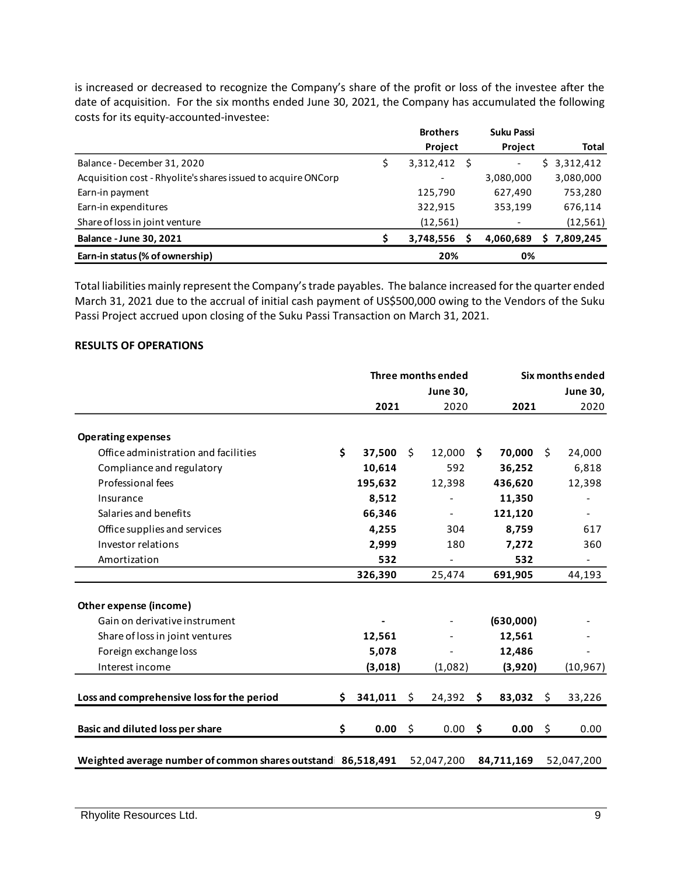is increased or decreased to recognize the Company's share of the profit or loss of the investee after the date of acquisition. For the six months ended June 30, 2021, the Company has accumulated the following costs for its equity-accounted-investee:

|                                                               | <b>Brothers</b> |                          | <b>Suku Passi</b>        |             |
|---------------------------------------------------------------|-----------------|--------------------------|--------------------------|-------------|
|                                                               |                 | Project                  | Project                  | Total       |
| Balance - December 31, 2020                                   |                 | 3,312,412                | $\overline{\phantom{a}}$ | \$3,312,412 |
| Acquisition cost - Rhyolite's shares issued to acquire ONCorp |                 | $\overline{\phantom{0}}$ | 3,080,000                | 3,080,000   |
| Earn-in payment                                               |                 | 125,790                  | 627,490                  | 753,280     |
| Earn-in expenditures                                          |                 | 322,915                  | 353,199                  | 676,114     |
| Share of loss in joint venture                                |                 | (12, 561)                | $\overline{\phantom{a}}$ | (12, 561)   |
| <b>Balance - June 30, 2021</b>                                |                 | 3,748,556                | 4,060,689                | \$7,809,245 |
| Earn-in status (% of ownership)                               |                 | 20%                      | 0%                       |             |

Total liabilities mainly represent the Company's trade payables. The balance increased for the quarter ended March 31, 2021 due to the accrual of initial cash payment of US\$500,000 owing to the Vendors of the Suku Passi Project accrued upon closing of the Suku Passi Transaction on March 31, 2021.

#### **RESULTS OF OPERATIONS**

|                                                                         | Three months ended |         |    |                 | Six months ended |            |    |                 |
|-------------------------------------------------------------------------|--------------------|---------|----|-----------------|------------------|------------|----|-----------------|
|                                                                         |                    |         |    | <b>June 30,</b> |                  |            |    | <b>June 30,</b> |
|                                                                         |                    | 2021    |    | 2020            |                  | 2021       |    | 2020            |
| <b>Operating expenses</b>                                               |                    |         |    |                 |                  |            |    |                 |
| Office administration and facilities                                    | \$                 | 37,500  | Ŝ. | 12,000          | \$.              | 70,000     | Ŝ. | 24,000          |
| Compliance and regulatory                                               |                    | 10,614  |    | 592             |                  | 36,252     |    | 6,818           |
| Professional fees                                                       |                    | 195,632 |    | 12,398          |                  | 436,620    |    | 12,398          |
| Insurance                                                               |                    | 8,512   |    |                 |                  | 11,350     |    |                 |
| Salaries and benefits                                                   |                    | 66,346  |    |                 |                  | 121,120    |    |                 |
| Office supplies and services                                            |                    | 4,255   |    | 304             |                  | 8,759      |    | 617             |
| Investor relations                                                      |                    | 2,999   |    | 180             |                  | 7,272      |    | 360             |
| Amortization                                                            |                    | 532     |    |                 |                  | 532        |    |                 |
|                                                                         |                    | 326,390 |    | 25,474          |                  | 691,905    |    | 44,193          |
| Other expense (income)                                                  |                    |         |    |                 |                  |            |    |                 |
| Gain on derivative instrument                                           |                    |         |    |                 |                  | (630,000)  |    |                 |
| Share of loss in joint ventures                                         |                    | 12,561  |    |                 |                  | 12,561     |    |                 |
| Foreign exchange loss                                                   |                    | 5,078   |    |                 |                  | 12,486     |    |                 |
| Interest income                                                         |                    | (3,018) |    | (1,082)         |                  | (3,920)    |    | (10, 967)       |
|                                                                         |                    |         |    |                 |                  |            |    |                 |
| Loss and comprehensive loss for the period                              | S.                 | 341,011 | \$ | 24,392          | \$               | 83,032     | Ŝ. | 33,226          |
| Basic and diluted loss per share                                        | \$                 | 0.00    | \$ | $0.00$ \$       |                  | 0.00%      |    | 0.00            |
|                                                                         |                    |         |    |                 |                  |            |    |                 |
| Weighted average number of common shares outstand 86,518,491 52,047,200 |                    |         |    |                 |                  | 84,711,169 |    | 52,047,200      |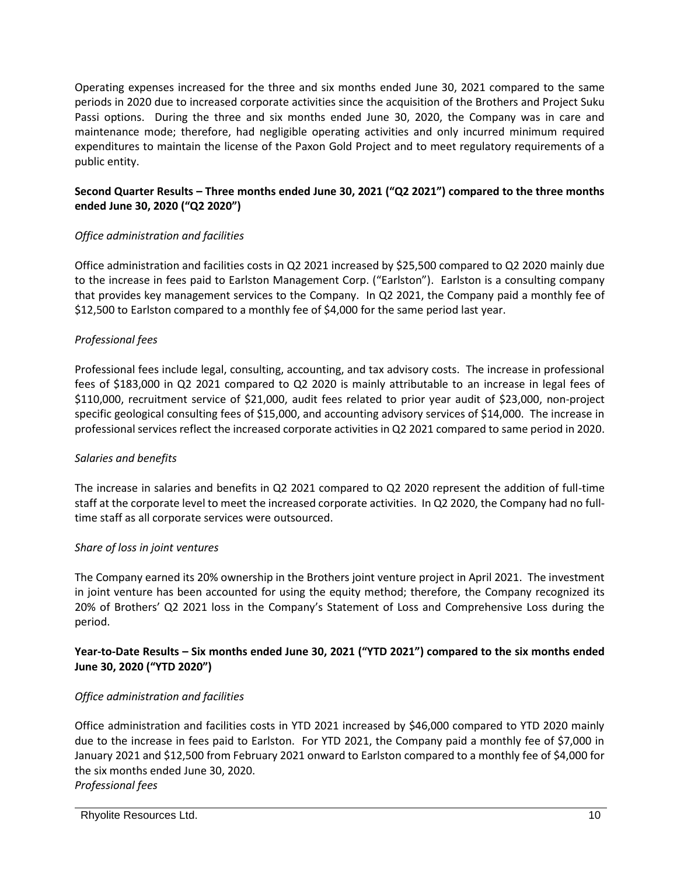Operating expenses increased for the three and six months ended June 30, 2021 compared to the same periods in 2020 due to increased corporate activities since the acquisition of the Brothers and Project Suku Passi options. During the three and six months ended June 30, 2020, the Company was in care and maintenance mode; therefore, had negligible operating activities and only incurred minimum required expenditures to maintain the license of the Paxon Gold Project and to meet regulatory requirements of a public entity.

# **Second Quarter Results – Three months ended June 30, 2021 ("Q2 2021") compared to the three months ended June 30, 2020 ("Q2 2020")**

# *Office administration and facilities*

Office administration and facilities costs in Q2 2021 increased by \$25,500 compared to Q2 2020 mainly due to the increase in fees paid to Earlston Management Corp. ("Earlston"). Earlston is a consulting company that provides key management services to the Company. In Q2 2021, the Company paid a monthly fee of \$12,500 to Earlston compared to a monthly fee of \$4,000 for the same period last year.

# *Professional fees*

Professional fees include legal, consulting, accounting, and tax advisory costs. The increase in professional fees of \$183,000 in Q2 2021 compared to Q2 2020 is mainly attributable to an increase in legal fees of \$110,000, recruitment service of \$21,000, audit fees related to prior year audit of \$23,000, non-project specific geological consulting fees of \$15,000, and accounting advisory services of \$14,000. The increase in professional services reflect the increased corporate activities in Q2 2021 compared to same period in 2020.

## *Salaries and benefits*

The increase in salaries and benefits in Q2 2021 compared to Q2 2020 represent the addition of full-time staff at the corporate level to meet the increased corporate activities. In Q2 2020, the Company had no fulltime staff as all corporate services were outsourced.

## *Share of loss in joint ventures*

The Company earned its 20% ownership in the Brothers joint venture project in April 2021. The investment in joint venture has been accounted for using the equity method; therefore, the Company recognized its 20% of Brothers' Q2 2021 loss in the Company's Statement of Loss and Comprehensive Loss during the period.

## **Year-to-Date Results – Six months ended June 30, 2021 ("YTD 2021") compared to the six months ended June 30, 2020 ("YTD 2020")**

## *Office administration and facilities*

Office administration and facilities costs in YTD 2021 increased by \$46,000 compared to YTD 2020 mainly due to the increase in fees paid to Earlston. For YTD 2021, the Company paid a monthly fee of \$7,000 in January 2021 and \$12,500 from February 2021 onward to Earlston compared to a monthly fee of \$4,000 for the six months ended June 30, 2020. *Professional fees*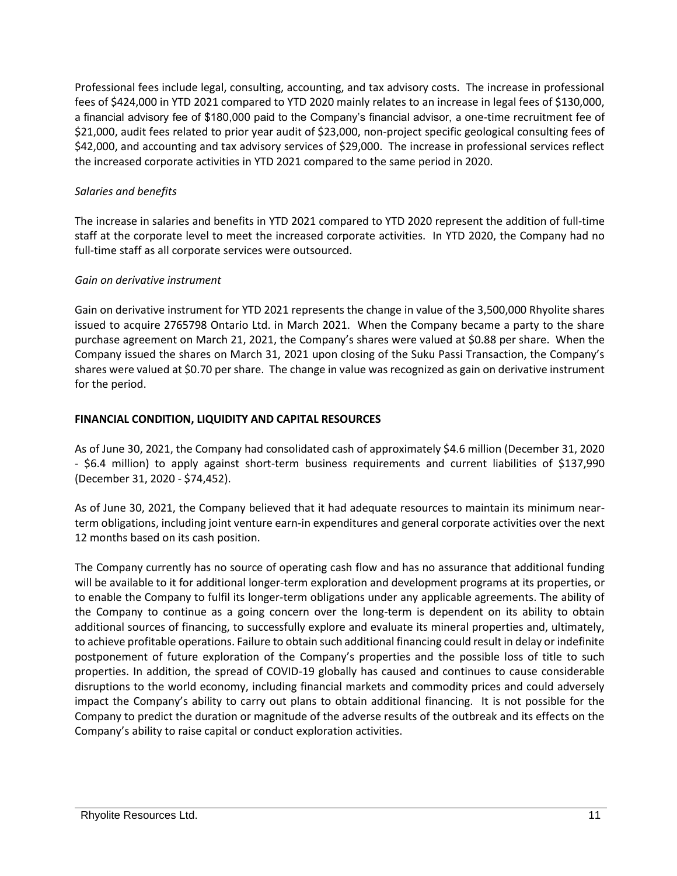Professional fees include legal, consulting, accounting, and tax advisory costs. The increase in professional fees of \$424,000 in YTD 2021 compared to YTD 2020 mainly relates to an increase in legal fees of \$130,000, a financial advisory fee of \$180,000 paid to the Company's financial advisor, a one-time recruitment fee of \$21,000, audit fees related to prior year audit of \$23,000, non-project specific geological consulting fees of \$42,000, and accounting and tax advisory services of \$29,000. The increase in professional services reflect the increased corporate activities in YTD 2021 compared to the same period in 2020.

## *Salaries and benefits*

The increase in salaries and benefits in YTD 2021 compared to YTD 2020 represent the addition of full-time staff at the corporate level to meet the increased corporate activities. In YTD 2020, the Company had no full-time staff as all corporate services were outsourced.

# *Gain on derivative instrument*

Gain on derivative instrument for YTD 2021 represents the change in value of the 3,500,000 Rhyolite shares issued to acquire 2765798 Ontario Ltd. in March 2021. When the Company became a party to the share purchase agreement on March 21, 2021, the Company's shares were valued at \$0.88 per share. When the Company issued the shares on March 31, 2021 upon closing of the Suku Passi Transaction, the Company's shares were valued at \$0.70 per share. The change in value was recognized as gain on derivative instrument for the period.

# **FINANCIAL CONDITION, LIQUIDITY AND CAPITAL RESOURCES**

As of June 30, 2021, the Company had consolidated cash of approximately \$4.6 million (December 31, 2020 - \$6.4 million) to apply against short-term business requirements and current liabilities of \$137,990 (December 31, 2020 - \$74,452).

As of June 30, 2021, the Company believed that it had adequate resources to maintain its minimum nearterm obligations, including joint venture earn-in expenditures and general corporate activities over the next 12 months based on its cash position.

The Company currently has no source of operating cash flow and has no assurance that additional funding will be available to it for additional longer-term exploration and development programs at its properties, or to enable the Company to fulfil its longer-term obligations under any applicable agreements. The ability of the Company to continue as a going concern over the long-term is dependent on its ability to obtain additional sources of financing, to successfully explore and evaluate its mineral properties and, ultimately, to achieve profitable operations. Failure to obtain such additional financing could result in delay or indefinite postponement of future exploration of the Company's properties and the possible loss of title to such properties. In addition, the spread of COVID-19 globally has caused and continues to cause considerable disruptions to the world economy, including financial markets and commodity prices and could adversely impact the Company's ability to carry out plans to obtain additional financing. It is not possible for the Company to predict the duration or magnitude of the adverse results of the outbreak and its effects on the Company's ability to raise capital or conduct exploration activities.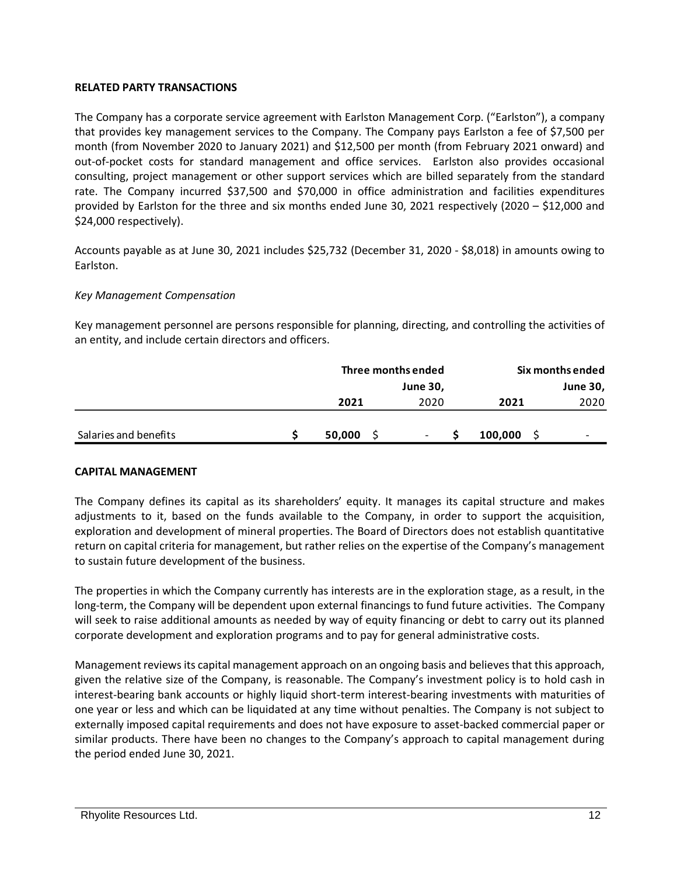## **RELATED PARTY TRANSACTIONS**

The Company has a corporate service agreement with Earlston Management Corp. ("Earlston"), a company that provides key management services to the Company. The Company pays Earlston a fee of \$7,500 per month (from November 2020 to January 2021) and \$12,500 per month (from February 2021 onward) and out-of-pocket costs for standard management and office services. Earlston also provides occasional consulting, project management or other support services which are billed separately from the standard rate. The Company incurred \$37,500 and \$70,000 in office administration and facilities expenditures provided by Earlston for the three and six months ended June 30, 2021 respectively (2020 – \$12,000 and \$24,000 respectively).

Accounts payable as at June 30, 2021 includes \$25,732 (December 31, 2020 - \$8,018) in amounts owing to Earlston.

#### *Key Management Compensation*

Key management personnel are persons responsible for planning, directing, and controlling the activities of an entity, and include certain directors and officers.

|                       |        | Three months ended | Six months ended |                          |  |  |
|-----------------------|--------|--------------------|------------------|--------------------------|--|--|
|                       |        | <b>June 30,</b>    | <b>June 30,</b>  |                          |  |  |
|                       | 2021   | 2020               | 2021             | 2020                     |  |  |
|                       |        |                    |                  |                          |  |  |
| Salaries and benefits | 50,000 | -                  | 100,000          | $\overline{\phantom{0}}$ |  |  |

#### **CAPITAL MANAGEMENT**

The Company defines its capital as its shareholders' equity. It manages its capital structure and makes adjustments to it, based on the funds available to the Company, in order to support the acquisition, exploration and development of mineral properties. The Board of Directors does not establish quantitative return on capital criteria for management, but rather relies on the expertise of the Company's management to sustain future development of the business.

The properties in which the Company currently has interests are in the exploration stage, as a result, in the long-term, the Company will be dependent upon external financings to fund future activities. The Company will seek to raise additional amounts as needed by way of equity financing or debt to carry out its planned corporate development and exploration programs and to pay for general administrative costs.

Management reviews its capital management approach on an ongoing basis and believes that this approach, given the relative size of the Company, is reasonable. The Company's investment policy is to hold cash in interest-bearing bank accounts or highly liquid short-term interest-bearing investments with maturities of one year or less and which can be liquidated at any time without penalties. The Company is not subject to externally imposed capital requirements and does not have exposure to asset-backed commercial paper or similar products. There have been no changes to the Company's approach to capital management during the period ended June 30, 2021.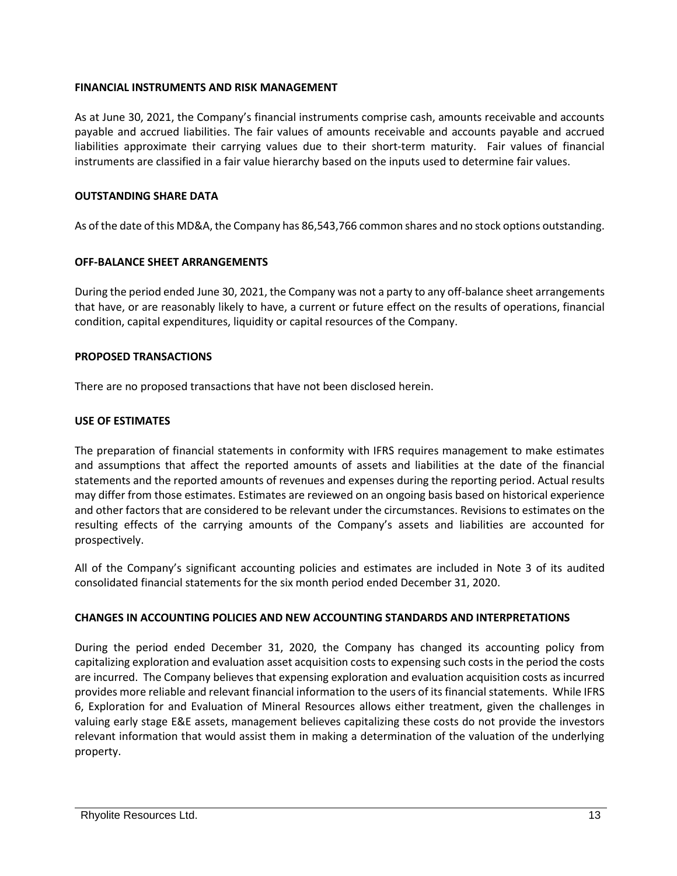#### **FINANCIAL INSTRUMENTS AND RISK MANAGEMENT**

As at June 30, 2021, the Company's financial instruments comprise cash, amounts receivable and accounts payable and accrued liabilities. The fair values of amounts receivable and accounts payable and accrued liabilities approximate their carrying values due to their short-term maturity. Fair values of financial instruments are classified in a fair value hierarchy based on the inputs used to determine fair values.

#### **OUTSTANDING SHARE DATA**

As of the date of this MD&A, the Company has 86,543,766 common shares and no stock options outstanding.

#### **OFF-BALANCE SHEET ARRANGEMENTS**

During the period ended June 30, 2021, the Company was not a party to any off-balance sheet arrangements that have, or are reasonably likely to have, a current or future effect on the results of operations, financial condition, capital expenditures, liquidity or capital resources of the Company.

#### **PROPOSED TRANSACTIONS**

There are no proposed transactions that have not been disclosed herein.

#### **USE OF ESTIMATES**

The preparation of financial statements in conformity with IFRS requires management to make estimates and assumptions that affect the reported amounts of assets and liabilities at the date of the financial statements and the reported amounts of revenues and expenses during the reporting period. Actual results may differ from those estimates. Estimates are reviewed on an ongoing basis based on historical experience and other factors that are considered to be relevant under the circumstances. Revisions to estimates on the resulting effects of the carrying amounts of the Company's assets and liabilities are accounted for prospectively.

All of the Company's significant accounting policies and estimates are included in Note 3 of its audited consolidated financial statements for the six month period ended December 31, 2020.

## **CHANGES IN ACCOUNTING POLICIES AND NEW ACCOUNTING STANDARDS AND INTERPRETATIONS**

During the period ended December 31, 2020, the Company has changed its accounting policy from capitalizing exploration and evaluation asset acquisition costs to expensing such costs in the period the costs are incurred. The Company believes that expensing exploration and evaluation acquisition costs as incurred provides more reliable and relevant financial information to the users of its financial statements. While IFRS 6, Exploration for and Evaluation of Mineral Resources allows either treatment, given the challenges in valuing early stage E&E assets, management believes capitalizing these costs do not provide the investors relevant information that would assist them in making a determination of the valuation of the underlying property.